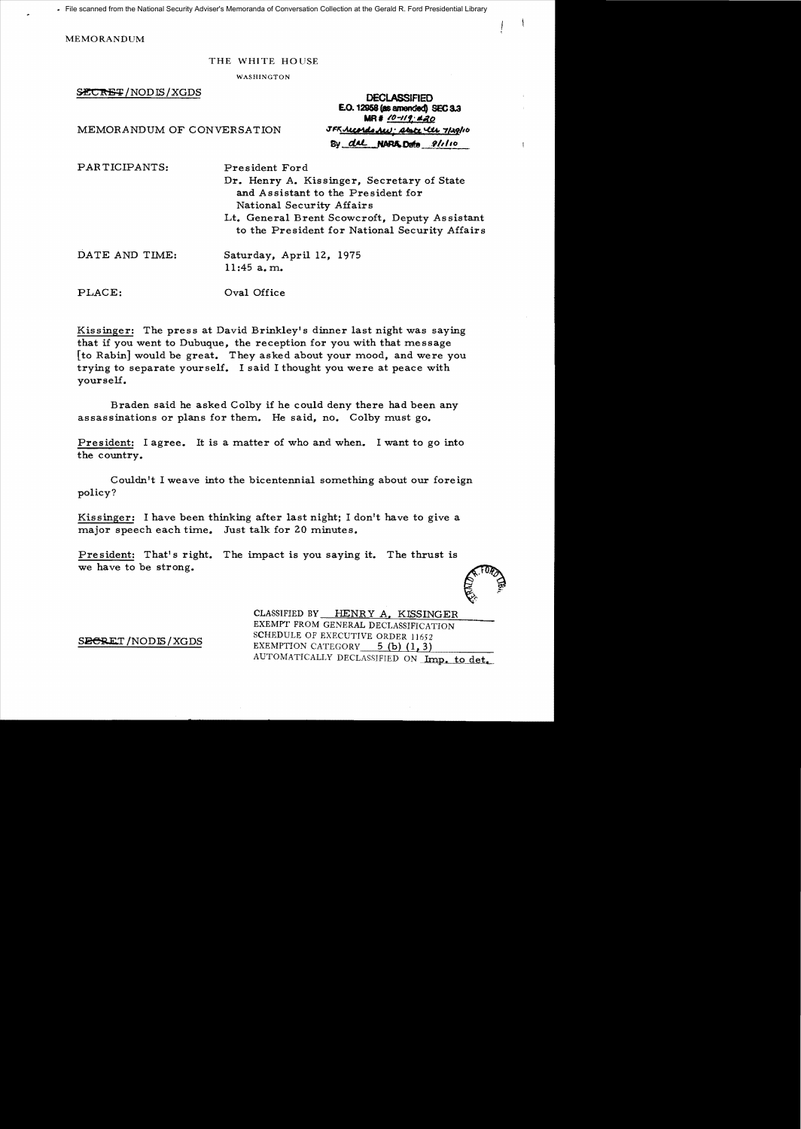File scanned from the National Security Adviser's Memoranda of Conversation Collection at the Gerald R. Ford Presidential Library

MEMORANDUM

## THE WHITE HOUSE

WASHINGTON

~/NODIS/XGDS **DECLASSIFIED EO. 12958 (as** amended) SEC8.3 **MR#** */0-119* #20 **MEMORANDUM OF CONVERSATION JFR JULE 1149/10** By del NARA Dato 8/110

 $\mathbf{I}$ 

PARTICIPANTS: President Ford Dr. Henry A. Kissinger, Secretary of State and Assistant to the President for National Security Affairs Lt. General Brent Scowcroft, Deputy As sistant to the President for National Security Affairs DATE AND TIME: Saturday, April 12, 1975 11:45 a. m. PLACE: Oval Office

Kissinger: The press at David Brinkley's dinner last night was saying that if you went to Dubuque, the reception for you with that message [to Rabin] would be great. They asked about your mood, and were you trying to separate yourself. I said I thought you were at peace with yourself.

Braden said he asked Colby if he could deny there had been any assassinations or plans for them. He said, no. Colby must go.

President: I agree. It is a matter of who and when. I want to go into the country.

Couldn't I weave into the bicentennial something about our foreign policy?

Kissinger: I have been thinking after last night; I don't have to give a major speech each time. Just talk for 20 minutes.

President: That's right. The impact is you saying it. The thrust is we have to be strong.

CLASSIFIED BY HENR Y A. KISSINGER EXEMPT FROM GENERAL DECLASSIFICATION<br>SCHEDULE OF EXECUTIVE ORDER 11652  $S_{\text{E}}$ SECRET/NODIS/XGDS EXEMPTION CATEGORY 5 (b) (1,3) AUTOMATICALLY DECLASSIFIED ON Imp. to det.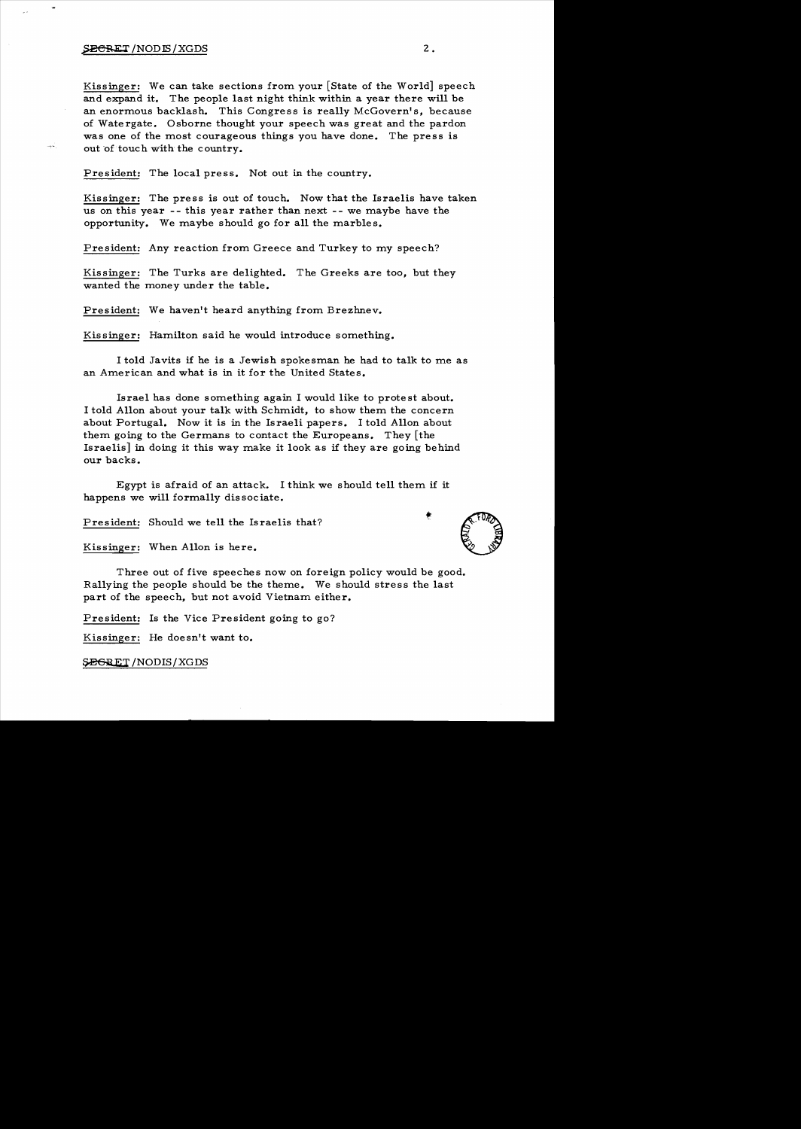## $\frac{1}{2}$   $\frac{1}{2}$ .

أسبب

Kissinger: We can take sections from your [State of the World] speech and expand it. The people last night think within a year there will be an enormous backlash. This Congress is really McGovern's, because of Watergate. Osborne thought your speech was great and the pardon was one of the most courageous things you have done. The press is out of touch with the country.

President: The local press. Not out in the country.

Kissinger: The press is out of touch. Now that the Israelis have taken us on this year -- this year rather than next -- we maybe have the opportunity. We maybe should go for all the marbles.

President: Any reaction from Greece and Turkey to my speech?

Kissinger: The Turks are delighted. The Greeks are too, but they wanted the money under the table.

President: We haven't heard anything from Brezhnev.

Kis singer: Hamilton said he would introduce something.

I told Javits if he is a Jewish spokesman he had to talk to me as an American and what is in it for the United States.

Israe1 has done something again I would like to prote st about. I told Allon about your talk with Schmidt, to show them the concern about Portugal. Now it is in the Israeli papers. I told Allon about them going to the Germans to contact the Europeans. They [the Israelis] in doing it this way make it look as if they are going behind our backs.

Egypt is afraid of an attack. I think we should tell them if it happens we will formally dis sociate.

President: Should we tell the Israelis that?

Kissinger: When Allon is here.

Three out of five speeches now on foreign policy would be good. Rallying the people should be the theme. We should stress the last part of the speech, but not avoid Vietnam either.

President: Is the Vice President going to go?

Kissinger: He doesn't want to.

SEGRET/NODIS/XGDS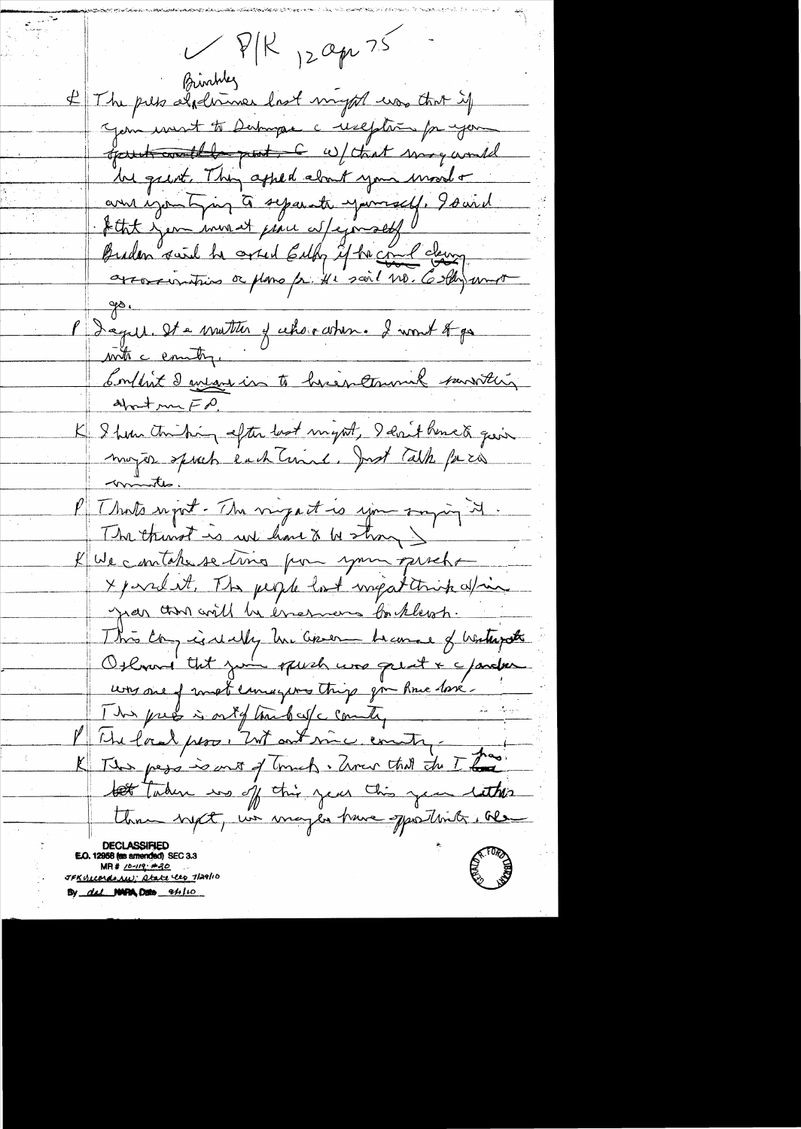$VPR_{12}$ apr 75 Birthley If The pets alphonner last myst us that if Jem unst to Derhugae a reseption for your gart with put 6 w/ that may would be great . They apped about your mood + anne igounting à separate yourself. Isaid Atht yen invent pau Nejmock Buden swil he onted Euly if he can claim arrossimities à plans fr. He sail no. Colly und  $\frac{1}{\sqrt{2}}$ P Degill. It à matter y cehoir arben. I wont trys with a country. Soulist deuts in to heighterwick sanstein K 9 hour touching after best might, 9 evrit hence à quin<br>moyer sporch each Terrine. Just Cath para <u>minites.</u> l'I hots report. The virgent is you surpring it. The thingt is we have a bestrong ) KWe contake se ting pour your priche X parelat, The people lost ingatitrick afric year than will be encourant for klewsh. This Congressionally he asses become of hatteriate Otherond that you opish was great & character uns me of most emigrous things give Rue losé. 1 hrs press is ont of the best country in the P The land pero, "Unt out mic country pas This page is ant of Gruch. Unev that the This the taken in off this year this year letters Una byct, we may be have sportlink. Re E.O. 12958 (as amended) SE  $MP# 10-119.120$ JF<u>KULCONdoNW; Atate les J</u>agho By del NORA DEL 94110